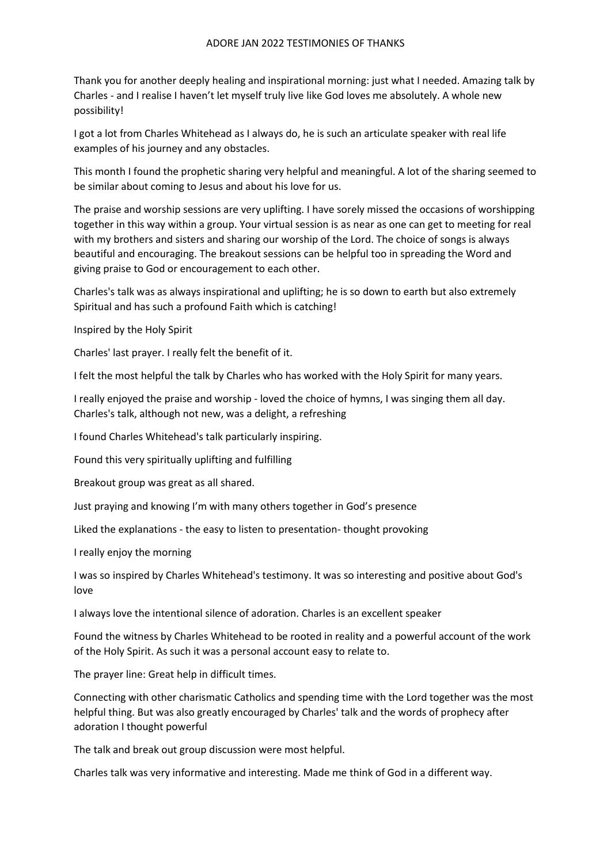Thank you for another deeply healing and inspirational morning: just what I needed. Amazing talk by Charles - and I realise I haven't let myself truly live like God loves me absolutely. A whole new possibility!

I got a lot from Charles Whitehead as I always do, he is such an articulate speaker with real life examples of his journey and any obstacles.

This month I found the prophetic sharing very helpful and meaningful. A lot of the sharing seemed to be similar about coming to Jesus and about his love for us.

The praise and worship sessions are very uplifting. I have sorely missed the occasions of worshipping together in this way within a group. Your virtual session is as near as one can get to meeting for real with my brothers and sisters and sharing our worship of the Lord. The choice of songs is always beautiful and encouraging. The breakout sessions can be helpful too in spreading the Word and giving praise to God or encouragement to each other.

Charles's talk was as always inspirational and uplifting; he is so down to earth but also extremely Spiritual and has such a profound Faith which is catching!

Inspired by the Holy Spirit

Charles' last prayer. I really felt the benefit of it.

I felt the most helpful the talk by Charles who has worked with the Holy Spirit for many years.

I really enjoyed the praise and worship - loved the choice of hymns, I was singing them all day. Charles's talk, although not new, was a delight, a refreshing

I found Charles Whitehead's talk particularly inspiring.

Found this very spiritually uplifting and fulfilling

Breakout group was great as all shared.

Just praying and knowing I'm with many others together in God's presence

Liked the explanations - the easy to listen to presentation- thought provoking

I really enjoy the morning

I was so inspired by Charles Whitehead's testimony. It was so interesting and positive about God's love

I always love the intentional silence of adoration. Charles is an excellent speaker

Found the witness by Charles Whitehead to be rooted in reality and a powerful account of the work of the Holy Spirit. As such it was a personal account easy to relate to.

The prayer line: Great help in difficult times.

Connecting with other charismatic Catholics and spending time with the Lord together was the most helpful thing. But was also greatly encouraged by Charles' talk and the words of prophecy after adoration I thought powerful

The talk and break out group discussion were most helpful.

Charles talk was very informative and interesting. Made me think of God in a different way.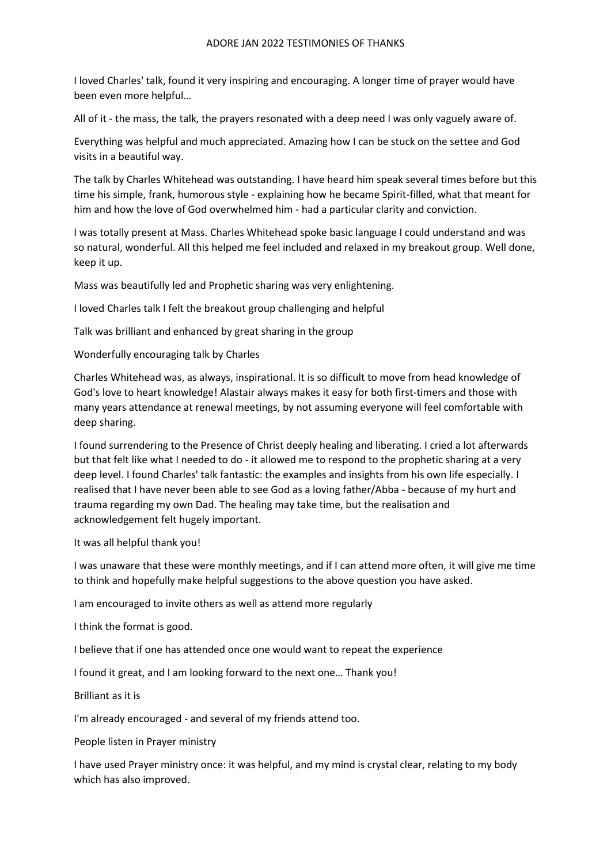I loved Charles' talk, found it very inspiring and encouraging. A longer time of prayer would have been even more helpful…

All of it - the mass, the talk, the prayers resonated with a deep need I was only vaguely aware of.

Everything was helpful and much appreciated. Amazing how I can be stuck on the settee and God visits in a beautiful way.

The talk by Charles Whitehead was outstanding. I have heard him speak several times before but this time his simple, frank, humorous style - explaining how he became Spirit-filled, what that meant for him and how the love of God overwhelmed him - had a particular clarity and conviction.

I was totally present at Mass. Charles Whitehead spoke basic language I could understand and was so natural, wonderful. All this helped me feel included and relaxed in my breakout group. Well done, keep it up.

Mass was beautifully led and Prophetic sharing was very enlightening.

I loved Charles talk I felt the breakout group challenging and helpful

Talk was brilliant and enhanced by great sharing in the group

Wonderfully encouraging talk by Charles

Charles Whitehead was, as always, inspirational. It is so difficult to move from head knowledge of God's love to heart knowledge! Alastair always makes it easy for both first-timers and those with many years attendance at renewal meetings, by not assuming everyone will feel comfortable with deep sharing.

I found surrendering to the Presence of Christ deeply healing and liberating. I cried a lot afterwards but that felt like what I needed to do - it allowed me to respond to the prophetic sharing at a very deep level. I found Charles' talk fantastic: the examples and insights from his own life especially. I realised that I have never been able to see God as a loving father/Abba - because of my hurt and trauma regarding my own Dad. The healing may take time, but the realisation and acknowledgement felt hugely important.

It was all helpful thank you!

I was unaware that these were monthly meetings, and if I can attend more often, it will give me time to think and hopefully make helpful suggestions to the above question you have asked.

I am encouraged to invite others as well as attend more regularly

I think the format is good.

I believe that if one has attended once one would want to repeat the experience

I found it great, and I am looking forward to the next one… Thank you!

Brilliant as it is

I'm already encouraged - and several of my friends attend too.

People listen in Prayer ministry

I have used Prayer ministry once: it was helpful, and my mind is crystal clear, relating to my body which has also improved.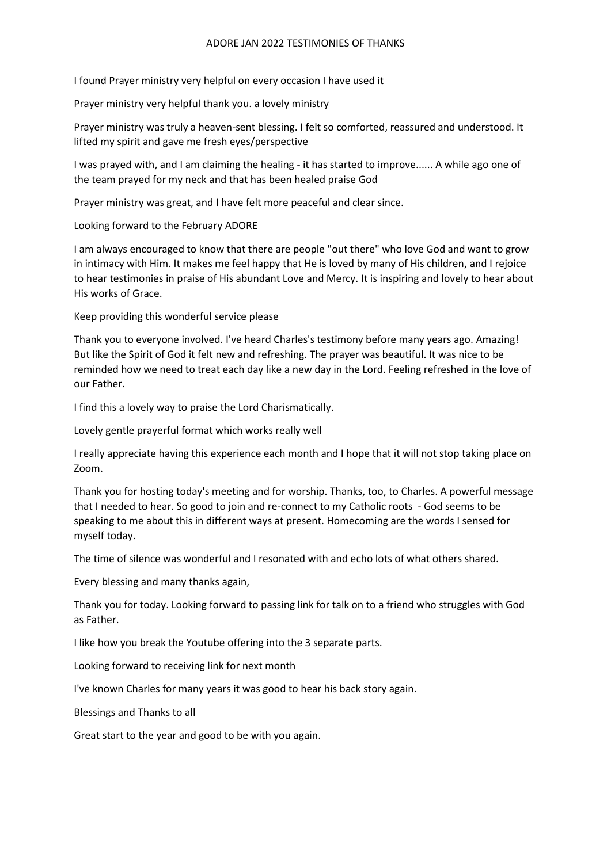I found Prayer ministry very helpful on every occasion I have used it

Prayer ministry very helpful thank you. a lovely ministry

Prayer ministry was truly a heaven-sent blessing. I felt so comforted, reassured and understood. It lifted my spirit and gave me fresh eyes/perspective

I was prayed with, and I am claiming the healing - it has started to improve...... A while ago one of the team prayed for my neck and that has been healed praise God

Prayer ministry was great, and I have felt more peaceful and clear since.

Looking forward to the February ADORE

I am always encouraged to know that there are people "out there" who love God and want to grow in intimacy with Him. It makes me feel happy that He is loved by many of His children, and I rejoice to hear testimonies in praise of His abundant Love and Mercy. It is inspiring and lovely to hear about His works of Grace.

Keep providing this wonderful service please

Thank you to everyone involved. I've heard Charles's testimony before many years ago. Amazing! But like the Spirit of God it felt new and refreshing. The prayer was beautiful. It was nice to be reminded how we need to treat each day like a new day in the Lord. Feeling refreshed in the love of our Father.

I find this a lovely way to praise the Lord Charismatically.

Lovely gentle prayerful format which works really well

I really appreciate having this experience each month and I hope that it will not stop taking place on Zoom.

Thank you for hosting today's meeting and for worship. Thanks, too, to Charles. A powerful message that I needed to hear. So good to join and re-connect to my Catholic roots - God seems to be speaking to me about this in different ways at present. Homecoming are the words I sensed for myself today.

The time of silence was wonderful and I resonated with and echo lots of what others shared.

Every blessing and many thanks again,

Thank you for today. Looking forward to passing link for talk on to a friend who struggles with God as Father.

I like how you break the Youtube offering into the 3 separate parts.

Looking forward to receiving link for next month

I've known Charles for many years it was good to hear his back story again.

Blessings and Thanks to all

Great start to the year and good to be with you again.